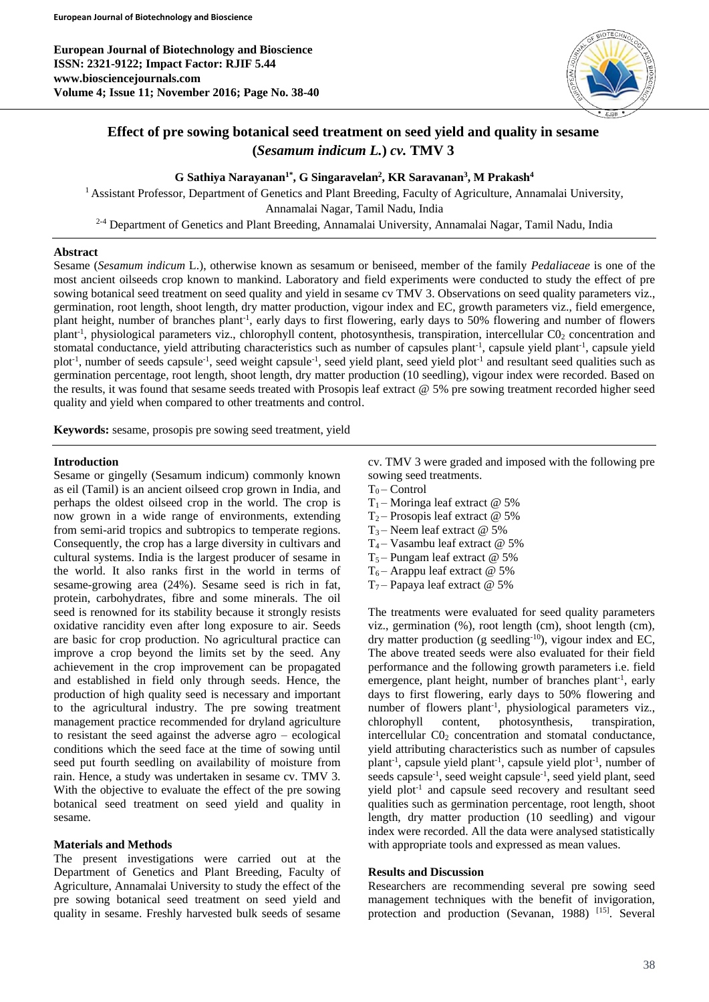

# **Effect of pre sowing botanical seed treatment on seed yield and quality in sesame (***Sesamum indicum L.***)** *cv.* **TMV 3**

**G Sathiya Narayanan1\*, G Singaravelan<sup>2</sup> , KR Saravanan<sup>3</sup> , M Prakash<sup>4</sup>**

<sup>1</sup> Assistant Professor, Department of Genetics and Plant Breeding, Faculty of Agriculture, Annamalai University, Annamalai Nagar, Tamil Nadu, India

2-4 Department of Genetics and Plant Breeding, Annamalai University, Annamalai Nagar, Tamil Nadu, India

#### **Abstract**

Sesame (*Sesamum indicum* L.), otherwise known as sesamum or beniseed, member of the family *Pedaliaceae* is one of the most ancient oilseeds crop known to mankind. Laboratory and field experiments were conducted to study the effect of pre sowing botanical seed treatment on seed quality and yield in sesame cv TMV 3. Observations on seed quality parameters viz., germination, root length, shoot length, dry matter production, vigour index and EC, growth parameters viz., field emergence, plant height, number of branches plant<sup>-1</sup>, early days to first flowering, early days to 50% flowering and number of flowers plant<sup>-1</sup>, physiological parameters viz., chlorophyll content, photosynthesis, transpiration, intercellular CO<sub>2</sub> concentration and stomatal conductance, yield attributing characteristics such as number of capsules plant<sup>-1</sup>, capsule yield plant<sup>-1</sup>, capsule yield plot<sup>-1</sup>, number of seeds capsule<sup>-1</sup>, seed weight capsule<sup>-1</sup>, seed yield plant, seed yield plot<sup>-1</sup> and resultant seed qualities such as germination percentage, root length, shoot length, dry matter production (10 seedling), vigour index were recorded. Based on the results, it was found that sesame seeds treated with Prosopis leaf extract @ 5% pre sowing treatment recorded higher seed quality and yield when compared to other treatments and control.

**Keywords:** sesame, prosopis pre sowing seed treatment, yield

### **Introduction**

Sesame or gingelly (Sesamum indicum) commonly known as eil (Tamil) is an ancient oilseed crop grown in India, and perhaps the oldest oilseed crop in the world. The crop is now grown in a wide range of environments, extending from semi-arid tropics and subtropics to temperate regions. Consequently, the crop has a large diversity in cultivars and cultural systems. India is the largest producer of sesame in the world. It also ranks first in the world in terms of sesame-growing area (24%). Sesame seed is rich in fat, protein, carbohydrates, fibre and some minerals. The oil seed is renowned for its stability because it strongly resists oxidative rancidity even after long exposure to air. Seeds are basic for crop production. No agricultural practice can improve a crop beyond the limits set by the seed. Any achievement in the crop improvement can be propagated and established in field only through seeds. Hence, the production of high quality seed is necessary and important to the agricultural industry. The pre sowing treatment management practice recommended for dryland agriculture to resistant the seed against the adverse agro – ecological conditions which the seed face at the time of sowing until seed put fourth seedling on availability of moisture from rain. Hence, a study was undertaken in sesame cv. TMV 3. With the objective to evaluate the effect of the pre sowing botanical seed treatment on seed yield and quality in sesame.

## **Materials and Methods**

The present investigations were carried out at the Department of Genetics and Plant Breeding, Faculty of Agriculture, Annamalai University to study the effect of the pre sowing botanical seed treatment on seed yield and quality in sesame. Freshly harvested bulk seeds of sesame

cv. TMV 3 were graded and imposed with the following pre sowing seed treatments.

- $T_0$  Control
- T<sub>1</sub> Moringa leaf extract  $@$  5%
- $T_2$  Prosopis leaf extract @ 5%
- T<sub>3</sub> Neem leaf extract  $@$  5%
- T<sub>4</sub> Vasambu leaf extract  $@$  5%
- $T_5$  Pungam leaf extract @ 5%
- $T_6$  Arappu leaf extract @ 5%
- $T_7$  Papaya leaf extract @ 5%

The treatments were evaluated for seed quality parameters viz., germination (%), root length (cm), shoot length (cm), dry matter production (g seedling $^{-10}$ ), vigour index and EC, The above treated seeds were also evaluated for their field performance and the following growth parameters i.e. field emergence, plant height, number of branches plant<sup>-1</sup>, early days to first flowering, early days to 50% flowering and number of flowers plant<sup>-1</sup>, physiological parameters viz., chlorophyll content, photosynthesis, transpiration, intercellular C0<sub>2</sub> concentration and stomatal conductance, yield attributing characteristics such as number of capsules plant<sup>-1</sup>, capsule yield plant<sup>-1</sup>, capsule yield plot<sup>-1</sup>, number of seeds capsule-1 , seed weight capsule-1 , seed yield plant, seed yield plot<sup>-1</sup> and capsule seed recovery and resultant seed qualities such as germination percentage, root length, shoot length, dry matter production (10 seedling) and vigour index were recorded. All the data were analysed statistically with appropriate tools and expressed as mean values.

#### **Results and Discussion**

Researchers are recommending several pre sowing seed management techniques with the benefit of invigoration, protection and production (Sevanan, 1988)<sup>[15]</sup>. Several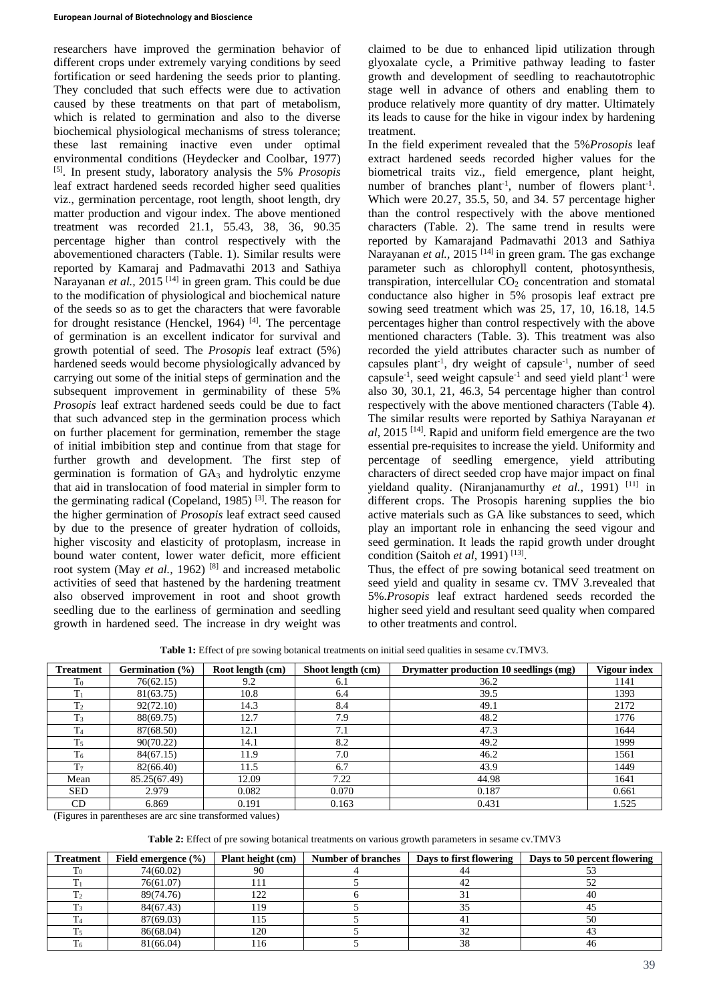researchers have improved the germination behavior of different crops under extremely varying conditions by seed fortification or seed hardening the seeds prior to planting. They concluded that such effects were due to activation caused by these treatments on that part of metabolism, which is related to germination and also to the diverse biochemical physiological mechanisms of stress tolerance; these last remaining inactive even under optimal environmental conditions (Heydecker and Coolbar, 1977) [5]. In present study, laboratory analysis the 5% *Prosopis* leaf extract hardened seeds recorded higher seed qualities viz., germination percentage, root length, shoot length, dry matter production and vigour index. The above mentioned treatment was recorded 21.1, 55.43, 38, 36, 90.35 percentage higher than control respectively with the abovementioned characters (Table. 1). Similar results were reported by Kamaraj and Padmavathi 2013 and Sathiya Narayanan *et al.*, 2015<sup>[14]</sup> in green gram. This could be due to the modification of physiological and biochemical nature of the seeds so as to get the characters that were favorable for drought resistance (Henckel, 1964)  $[4]$ . The percentage of germination is an excellent indicator for survival and growth potential of seed. The *Prosopis* leaf extract (5%) hardened seeds would become physiologically advanced by carrying out some of the initial steps of germination and the subsequent improvement in germinability of these 5% *Prosopis* leaf extract hardened seeds could be due to fact that such advanced step in the germination process which on further placement for germination, remember the stage of initial imbibition step and continue from that stage for further growth and development. The first step of germination is formation of  $GA<sub>3</sub>$  and hydrolytic enzyme that aid in translocation of food material in simpler form to the germinating radical (Copeland, 1985) [3]. The reason for the higher germination of *Prosopis* leaf extract seed caused by due to the presence of greater hydration of colloids, higher viscosity and elasticity of protoplasm, increase in bound water content, lower water deficit, more efficient root system (May *et al.*, 1962)<sup>[8]</sup> and increased metabolic activities of seed that hastened by the hardening treatment also observed improvement in root and shoot growth seedling due to the earliness of germination and seedling growth in hardened seed. The increase in dry weight was

claimed to be due to enhanced lipid utilization through glyoxalate cycle, a Primitive pathway leading to faster growth and development of seedling to reachautotrophic stage well in advance of others and enabling them to produce relatively more quantity of dry matter. Ultimately its leads to cause for the hike in vigour index by hardening treatment.

In the field experiment revealed that the 5%*Prosopis* leaf extract hardened seeds recorded higher values for the biometrical traits viz., field emergence, plant height, number of branches plant<sup>-1</sup>, number of flowers plant<sup>-1</sup>. Which were 20.27, 35.5, 50, and 34. 57 percentage higher than the control respectively with the above mentioned characters (Table. 2). The same trend in results were reported by Kamarajand Padmavathi 2013 and Sathiya Narayanan *et al.*, 2015<sup>[14]</sup> in green gram. The gas exchange parameter such as chlorophyll content, photosynthesis, transpiration, intercellular  $CO<sub>2</sub>$  concentration and stomatal conductance also higher in 5% prosopis leaf extract pre sowing seed treatment which was 25, 17, 10, 16.18, 14.5 percentages higher than control respectively with the above mentioned characters (Table. 3). This treatment was also recorded the yield attributes character such as number of capsules plant-1 , dry weight of capsule-1 , number of seed capsule-1 , seed weight capsule-1 and seed yield plant-1 were also 30, 30.1, 21, 46.3, 54 percentage higher than control respectively with the above mentioned characters (Table 4). The similar results were reported by Sathiya Narayanan *et al,* 2015 [14]. Rapid and uniform field emergence are the two essential pre-requisites to increase the yield. Uniformity and percentage of seedling emergence, yield attributing characters of direct seeded crop have major impact on final yieldand quality. (Niranjanamurthy *et al.*, 1991)<sup>[11]</sup> in different crops. The Prosopis harening supplies the bio active materials such as GA like substances to seed, which play an important role in enhancing the seed vigour and seed germination. It leads the rapid growth under drought condition (Saitoh et al, 1991)<sup>[13]</sup>.

Thus, the effect of pre sowing botanical seed treatment on seed yield and quality in sesame cv. TMV 3.revealed that 5%.*Prosopis* leaf extract hardened seeds recorded the higher seed yield and resultant seed quality when compared to other treatments and control.

**Table 1:** Effect of pre sowing botanical treatments on initial seed qualities in sesame cv.TMV3.

| <b>Treatment</b> | Germination (%) | Root length (cm) | Shoot length (cm) | Drymatter production 10 seedlings (mg) | <b>Vigour index</b> |
|------------------|-----------------|------------------|-------------------|----------------------------------------|---------------------|
| $T_0$            | 76(62.15)       | 9.2              | 6.1               | 36.2                                   | 1141                |
| $T_1$            | 81(63.75)       | 10.8             | 6.4               | 39.5                                   | 1393                |
| T <sub>2</sub>   | 92(72.10)       | 14.3             | 8.4               | 49.1                                   | 2172                |
| $T_3$            | 88(69.75)       | 12.7             | 7.9               | 48.2                                   | 1776                |
| T <sub>4</sub>   | 87(68.50)       | 12.1             | 7.1               | 47.3                                   | 1644                |
| T <sub>5</sub>   | 90(70.22)       | 14.1             | 8.2               | 49.2                                   | 1999                |
| T <sub>6</sub>   | 84(67.15)       | 11.9             | 7.0               | 46.2                                   | 1561                |
| T <sub>7</sub>   | 82(66.40)       | 11.5             | 6.7               | 43.9                                   | 1449                |
| Mean             | 85.25(67.49)    | 12.09            | 7.22              | 44.98                                  | 1641                |
| <b>SED</b>       | 2.979           | 0.082            | 0.070             | 0.187                                  | 0.661               |
| <b>CD</b>        | 6.869           | 0.191            | 0.163             | 0.431                                  | 1.525               |

(Figures in parentheses are arc sine transformed values)

**Table 2:** Effect of pre sowing botanical treatments on various growth parameters in sesame cv.TMV3

| <b>Treatment</b> | Field emergence $(\% )$ | Plant height (cm) | <b>Number of branches</b> | Days to first flowering | Days to 50 percent flowering |
|------------------|-------------------------|-------------------|---------------------------|-------------------------|------------------------------|
|                  | 74(60.02)               |                   |                           |                         |                              |
|                  | 76(61.07)               |                   |                           |                         | ے ر                          |
|                  | 89(74.76)               | 122               |                           |                         | 40                           |
|                  | 84(67.43)               | 19                |                           |                         |                              |
|                  | 87(69.03)               |                   |                           |                         | 50                           |
|                  | 86(68.04)               | 120               |                           |                         |                              |
|                  | 81(66.04)               |                   |                           |                         |                              |